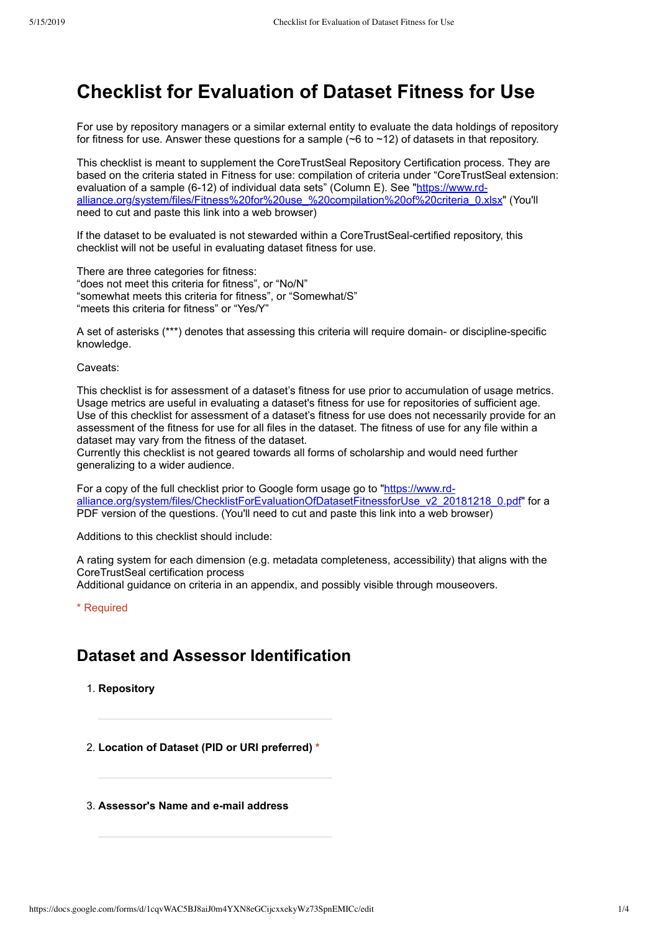# **Checklist for Evaluation of Dataset Fitness for Use**

For use by repository managers or a similar external entity to evaluate the data holdings of repository for fitness for use. Answer these questions for a sample  $(~6$  to  $~12)$  of datasets in that repository.

This checklist is meant to supplement the CoreTrustSeal Repository Certification process. They are based on the criteria stated in Fitness for use: compilation of criteria under "CoreTrustSeal extension: evaluation of a sample (6-12) of individual data sets" (Column E). See "https://www.rdalliance.org/system/files/Fitness%20for%20use\_%20compilation%20of%20criteria\_0.xlsx" (You'll need to cut and paste this link into a web browser)

If the dataset to be evaluated is not stewarded within a CoreTrustSeal-certified repository, this checklist will not be useful in evaluating dataset fitness for use.

There are three categories for fitness: "does not meet this criteria for fitness", or "No/N" "somewhat meets this criteria for fitness", or "Somewhat/S" "meets this criteria for fitness" or "Yes/Y"

A set of asterisks (\*\*\*) denotes that assessing this criteria will require domain- or discipline-specific knowledge.

Caveats:

This checklist is for assessment of a dataset's fitness for use prior to accumulation of usage metrics. Usage metrics are useful in evaluating a dataset's fitness for use for repositories of sufficient age. Use of this checklist for assessment of a dataset's fitness for use does not necessarily provide for an assessment of the fitness for use for all files in the dataset. The fitness of use for any file within a dataset may vary from the fitness of the dataset.

Currently this checklist is not geared towards all forms of scholarship and would need further generalizing to a wider audience.

For a copy of the full checklist prior to Google form usage go to "https://www.rdalliance.org/system/files/ChecklistForEvaluationOfDatasetFitnessforUse\_v2\_20181218\_0.pdf" for a PDF version of the questions. (You'll need to cut and paste this link into a web browser)

Additions to this checklist should include:

A rating system for each dimension (e.g. metadata completeness, accessibility) that aligns with the CoreTrustSeal certification process

Additional guidance on criteria in an appendix, and possibly visible through mouseovers.

\* Required

## **Dataset and Assessor Identification**

1. **Repository**

2. **Location of Dataset (PID or URI preferred) \***

3. **Assessor's Name and email address**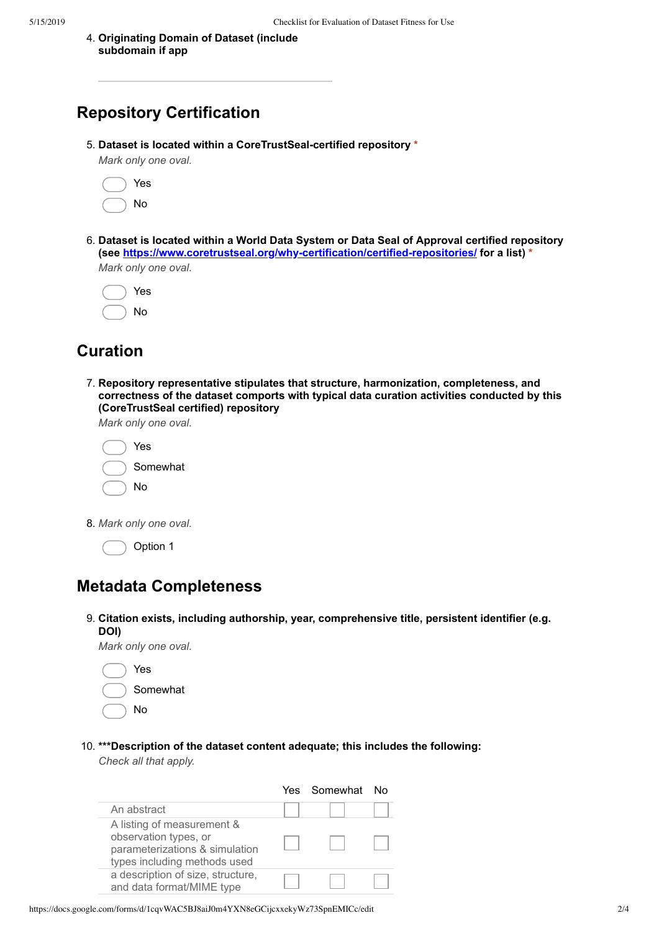4. **Originating Domain of Dataset (include subdomain if app**

# **Repository Certification**

5. **Dataset is located within a CoreTrustSealcertified repository \***

*Mark only one oval.*

|  | Yes |
|--|-----|
|  | N٥  |

6. **Dataset is located within a World Data System or Data Seal of Approval certified repository** (see https://www.coretrustseal.org/why-certification/certified-repositories/ for a list) \* *Mark only one oval.*

|  | Yes |
|--|-----|
|  | No  |

# **Curation**

7. **Repository representative stipulates that structure, harmonization, completeness, and correctness of the dataset comports with typical data curation activities conducted by this (CoreTrustSeal certified) repository**

*Mark only one oval.*

| Yes      |
|----------|
| Somewhat |
| No       |
|          |

8. *Mark only one oval.*

Option 1

### **Metadata Completeness**

#### 9. **Citation exists, including authorship, year, comprehensive title, persistent identifier (e.g. DOI)**

*Mark only one oval.*

| Yes      |
|----------|
| Somewhat |
| No       |

10. **\*\*\*Description of the dataset content adequate; this includes the following:**

*Check all that apply.*

|                                                                                                                       | Yes Somewhat | N∩ |
|-----------------------------------------------------------------------------------------------------------------------|--------------|----|
| An abstract                                                                                                           |              |    |
| A listing of measurement &<br>observation types, or<br>parameterizations & simulation<br>types including methods used |              |    |
| a description of size, structure,<br>and data format/MIME type                                                        |              |    |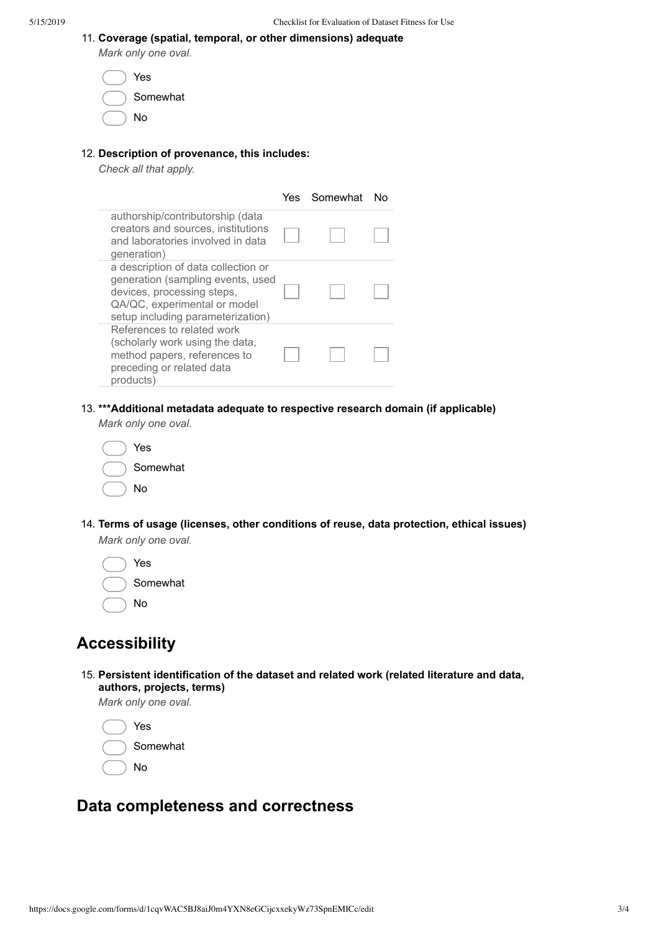|  |  |  |  |  | 11. Coverage (spatial, temporal, or other dimensions) adequate |  |
|--|--|--|--|--|----------------------------------------------------------------|--|
|--|--|--|--|--|----------------------------------------------------------------|--|

*Mark only one oval.*

| Yes      |
|----------|
| Somewhat |
| No       |

### 12. **Description of provenance, this includes:**

*Check all that apply.*

|                                                                                                                                                                             | Yes. | Somewhat | N٥ |
|-----------------------------------------------------------------------------------------------------------------------------------------------------------------------------|------|----------|----|
| authorship/contributorship (data<br>creators and sources, institutions<br>and laboratories involved in data<br>generation)                                                  |      |          |    |
| a description of data collection or<br>generation (sampling events, used<br>devices, processing steps,<br>QA/QC, experimental or model<br>setup including parameterization) |      |          |    |
| References to related work<br>(scholarly work using the data,<br>method papers, references to<br>preceding or related data<br>products)                                     |      |          |    |

13. **\*\*\*Additional metadata adequate to respective research domain (if applicable)**

*Mark only one oval.*

| Yes      |
|----------|
| Somewhat |
| No       |

- 14. **Terms of usage (licenses, other conditions of reuse, data protection, ethical issues)** *Mark only one oval.*
	- Yes Somewhat No

# **Accessibility**

15. **Persistent identification of the dataset and related work (related literature and data, authors, projects, terms)**

*Mark only one oval.*

Yes Somewhat No

# **Data completeness and correctness**